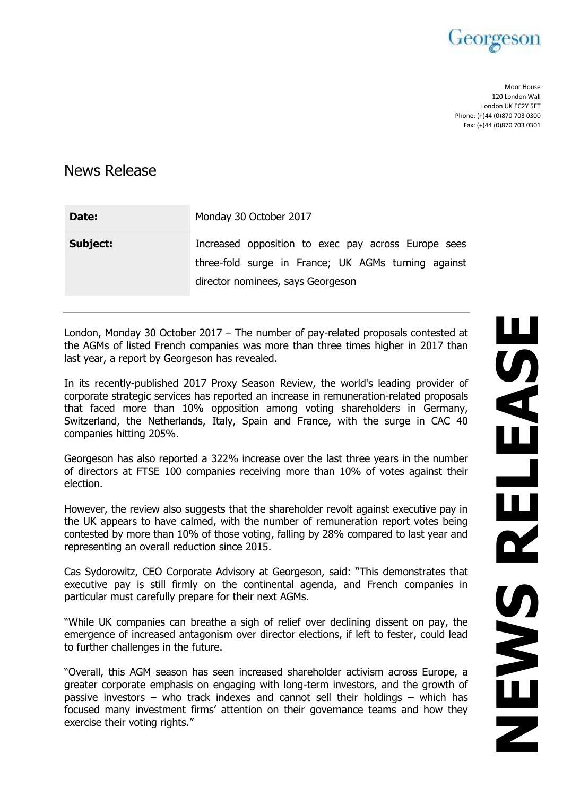

Moor House 120 London Wall London UK EC2Y 5ET Phone: (+)44 (0)870 703 0300 Fax: (+)44 (0)870 703 0301

# News Release

| Date:    | Monday 30 October 2017                                                                                                                          |
|----------|-------------------------------------------------------------------------------------------------------------------------------------------------|
| Subject: | Increased opposition to exec pay across Europe sees<br>three-fold surge in France; UK AGMs turning against<br>director nominees, says Georgeson |

London, Monday 30 October 2017 – The number of pay-related proposals contested at the AGMs of listed French companies was more than three times higher in 2017 than last year, a report by Georgeson has revealed.

In its recently-published 2017 Proxy Season Review, the world's leading provider of corporate strategic services has reported an increase in remuneration-related proposals that faced more than 10% opposition among voting shareholders in Germany, Switzerland, the Netherlands, Italy, Spain and France, with the surge in CAC 40 companies hitting 205%.

Georgeson has also reported a 322% increase over the last three years in the number of directors at FTSE 100 companies receiving more than 10% of votes against their election.

However, the review also suggests that the shareholder revolt against executive pay in the UK appears to have calmed, with the number of remuneration report votes being contested by more than 10% of those voting, falling by 28% compared to last year and representing an overall reduction since 2015.

Cas Sydorowitz, CEO Corporate Advisory at Georgeson, said: "This demonstrates that executive pay is still firmly on the continental agenda, and French companies in particular must carefully prepare for their next AGMs.

"While UK companies can breathe a sigh of relief over declining dissent on pay, the emergence of increased antagonism over director elections, if left to fester, could lead to further challenges in the future.

"Overall, this AGM season has seen increased shareholder activism across Europe, a greater corporate emphasis on engaging with long-term investors, and the growth of passive investors – who track indexes and cannot sell their holdings – which has focused many investment firms' attention on their governance teams and how they exercise their voting rights."

NEWS<br>NEWS<br>NEWS **USALISA** SNEWS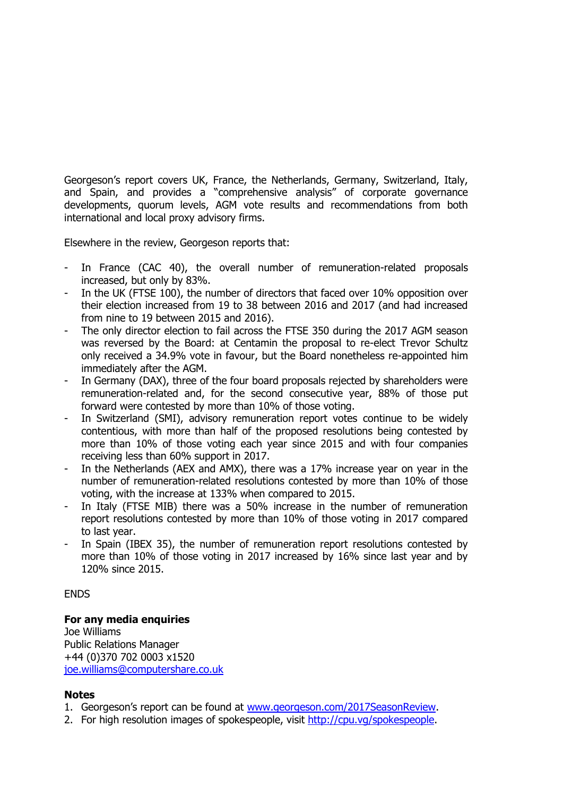Georgeson's report covers UK, France, the Netherlands, Germany, Switzerland, Italy, and Spain, and provides a "comprehensive analysis" of corporate governance developments, quorum levels, AGM vote results and recommendations from both international and local proxy advisory firms.

Elsewhere in the review, Georgeson reports that:

- In France (CAC 40), the overall number of remuneration-related proposals increased, but only by 83%.
- In the UK (FTSE 100), the number of directors that faced over 10% opposition over their election increased from 19 to 38 between 2016 and 2017 (and had increased from nine to 19 between 2015 and 2016).
- The only director election to fail across the FTSE 350 during the 2017 AGM season was reversed by the Board: at Centamin the proposal to re-elect Trevor Schultz only received a 34.9% vote in favour, but the Board nonetheless re-appointed him immediately after the AGM.
- In Germany (DAX), three of the four board proposals rejected by shareholders were remuneration-related and, for the second consecutive year, 88% of those put forward were contested by more than 10% of those voting.
- In Switzerland (SMI), advisory remuneration report votes continue to be widely contentious, with more than half of the proposed resolutions being contested by more than 10% of those voting each year since 2015 and with four companies receiving less than 60% support in 2017.
- In the Netherlands (AEX and AMX), there was a 17% increase year on year in the number of remuneration-related resolutions contested by more than 10% of those voting, with the increase at 133% when compared to 2015.
- In Italy (FTSE MIB) there was a 50% increase in the number of remuneration report resolutions contested by more than 10% of those voting in 2017 compared to last year.
- In Spain (IBEX 35), the number of remuneration report resolutions contested by more than 10% of those voting in 2017 increased by 16% since last year and by 120% since 2015.

#### ENDS

## **For any media enquiries**

Joe Williams Public Relations Manager +44 (0)370 702 0003 x1520 [joe.williams@computershare.co.uk](mailto:joe.williams@computershare.co.uk)

## **Notes**

- 1. Georgeson's report can be found at [www.georgeson.com/2017SeasonReview.](http://www.georgeson.com/2017SeasonReview)
- 2. For high resolution images of spokespeople, visit [http://cpu.vg/spokespeople.](http://cpu.vg/spokespeople)